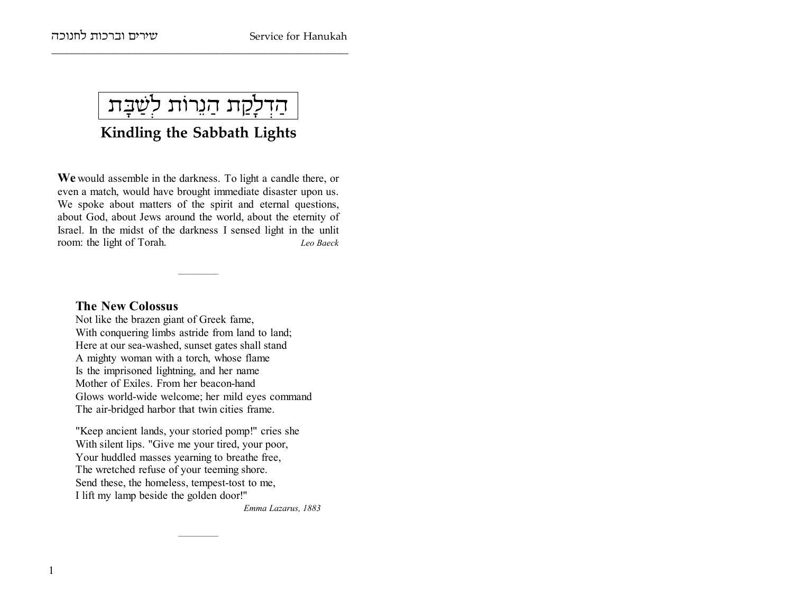שירים וברכות לחנוכה

ּהַדְלָקַת הַנֵרוֹת לִשַּׁבָּת

Kindling the Sabbath Lights

We would assemble in the darkness. To light a candle there, or even a match, would have brought immediate disaster upon us. We spoke about matters of the spirit and eternal questions, about God, about Jews around the world, about the eternity of Israel. In the midst of the darkness I sensed light in the unlit room: the light of Torah. Leo Baeck

### **The New Colossus**

Not like the brazen giant of Greek fame, With conquering limbs astride from land to land; Here at our sea-washed, sunset gates shall stand A mighty woman with a torch, whose flame Is the imprisoned lightning, and her name Mother of Exiles. From her beacon-hand Glows world-wide welcome; her mild eves command The air-bridged harbor that twin cities frame.

"Keep ancient lands, your storied pomp!" cries she With silent lips. "Give me your tired, your poor, Your huddled masses yearning to breathe free, The wretched refuse of your teeming shore. Send these, the homeless, tempest-tost to me, I lift my lamp beside the golden door!"

Emma Lazarus, 1883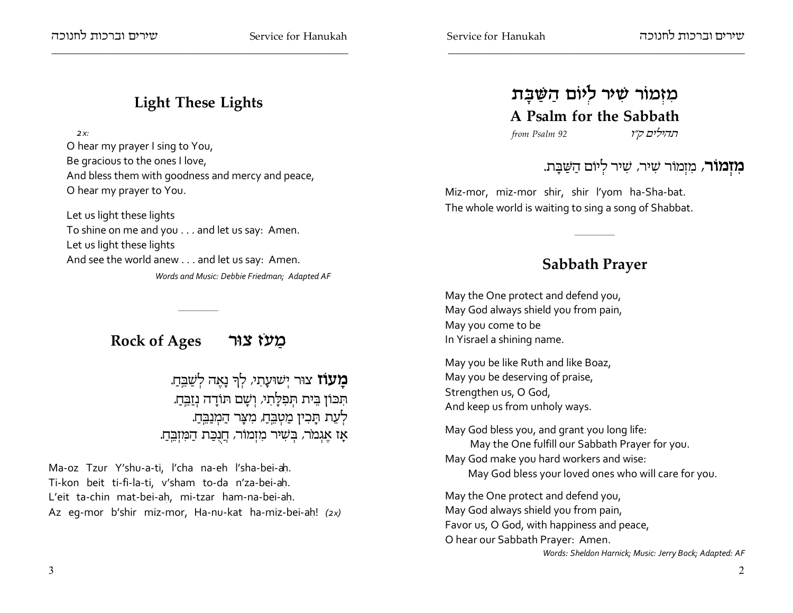## **Light These Lights**

 $2x<sub>1</sub>$ 

O hear my prayer I sing to You, Be gracious to the ones I love, And bless them with goodness and mercy and peace, O hear my prayer to You.

Let us light these lights To shine on me and you . . . and let us say: Amen. Let us light these lights And see the world anew . . . and let us say: Amen. Words and Music: Debbie Friedman; Adapted AF

## Rock of Ages אור Rock of Ages

**מעוז** צור ישועתי, לך נאה לשבח. תִּכּוֹן בֵּית תְּפִלָּתִי, וְשָׁם תּוֹדָה נְזַבֵּחָ. לְעֵת תַּבִין מַטִבֵּחַ, מִצָּר הַמִנַבֵּחַ. אַז אַגמר, בִּשִׁיר מִזְמוֹר, חֲנִכַּת הַמְזִבֵּהַ.

Ma-oz Tzur Y'shu-a-ti, l'cha na-eh l'sha-bei-ah. Ti-kon beit ti-fi-la-ti, v'sham to-da n'za-bei-ah. L'eit ta-chin mat-bei-ah, mi-tzar ham-na-bei-ah. Az eq-mor b'shir miz-mor, Ha-nu-kat ha-miz-bei-ah! (2x)

# מִזְמוֹר שִׁיּר לִיוֹם הַשַּׁבָּת A Psalm for the Sabbath

from Psalm 92

תהילים ק״ו

# **מזמור**, מזמור שיר, שיר ליום השבת.

Miz-mor, miz-mor shir, shir l'yom ha-Sha-bat. The whole world is waiting to sing a song of Shabbat.

## **Sabbath Prayer**

May the One protect and defend you, May God always shield you from pain, May you come to be In Yisrael a shining name.

May you be like Ruth and like Boaz, May you be deserving of praise, Strengthen us, O God, And keep us from unholy ways.

May God bless you, and grant you long life: May the One fulfill our Sabbath Prayer for you. May God make you hard workers and wise: May God bless your loved ones who will care for you.

May the One protect and defend you, May God always shield you from pain, Favor us, O God, with happiness and peace, O hear our Sabbath Prayer: Amen.

Words: Sheldon Harnick; Music: Jerry Bock; Adapted: AF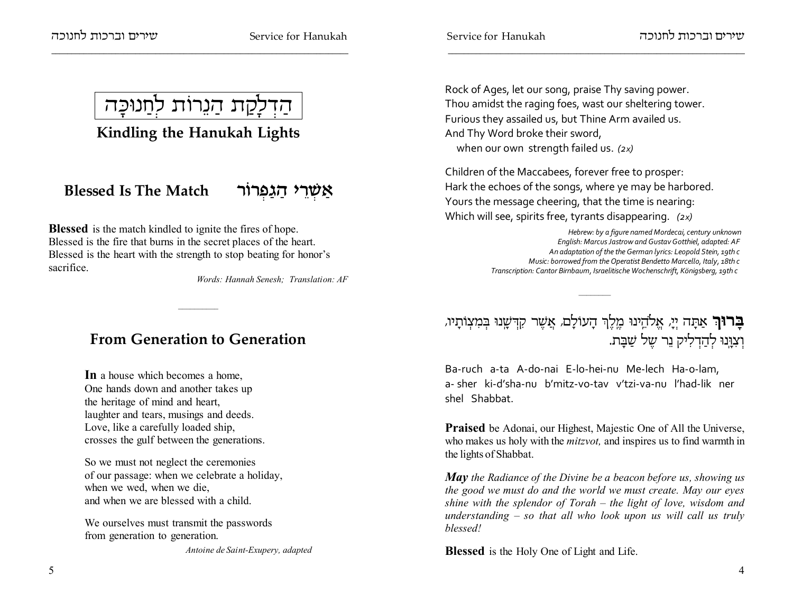ווינרים ודרכות לחנוכה $\mathfrak{m}$ 



## **Kindling the Hanukah Lights**

# **Blessed Is The Match xFx §t©b ©d i ¥x §W ©`**

**Blessed** is the match kindled to ignite the fires of hope. Blessed is the fire that burns in the secret places of the heart. Blessed is the heart with the strength to stop beating for honor'ssacrifice.

*Words: Hannah Senesh; Translation: AF*

## **From Generation to Generation**

**In** a house which becomes a home, One hands down and another takes upthe heritage of mind and heart,laughter and tears, musings and deeds.Love, like a carefully loaded ship,crosses the gulf between the generations.

So we must not neglect the ceremonies of our passage: when we celebrate a holiday,when we wed, when we die,and when we are blessed with a child.

We ourselves must transmit the passwordsfrom generation to generation.

*Antoine de Saint-Exupery, adapted*

Rock of Ages, let our song, praise Thy saving power.Thou amidst the raging foes, wast our sheltering tower.Furious they assailed us, but Thine Arm availed us.And Thy Word broke their sword,when our own strength failed us. *(2x)*

Children of the Maccabees, forever free to prosper:Hark the echoes of the songs, where ye may be harbored.Yours the message cheering, that the time is nearing:Which will see, spirits free, tyrants disappearing. *(2x)*

> *Hebrew: by a figure named Mordecai, century unknown English: Marcus Jastrow and Gustav Gotthiel, adapted: AF An adaptation of the the German lyrics: Leopold Stein, 19th c Music: borrowed from the Operatist Bendetto Marcello, Italy, 18th cTranscription: Cantor Birnbaum, Israelitische Wochenschrift, Königsberg, 19th c*

# **בָרוּךְ** אַתָּה יְיָ, אֱלֹהֵינוּ כֵוְלֶךְ הָעוֹלָם, אֲשֶׁר קִדְּשָׁנוּ בְּמִצְוֹתָיו, וְצִוְּנוּ לְהַדְלִיק נֵר שֶל שַׁבָּת.

Ba-ruch a-ta A-do-nai E-lo-hei-nu Me-lech Ha-o-lam,a- sher ki-d'sha-nu b'mitz-vo-tav v'tzi-va-nu l'had-lik nershel Shabbat.

**Praised** be Adonai, our Highest, Majestic One of All the Universe, who makes us holy with the *mitzvot,* and inspires us to find warmth inthe lights of Shabbat.

*May the Radiance of the Divine be a beacon before us, showing us the good we must do and the world we must create. May our eyes shine with the splendor of Torah – the light of love, wisdom and understanding – so that all who look upon us will call us trulyblessed!*

**Blessed** is the Holy One of Light and Life.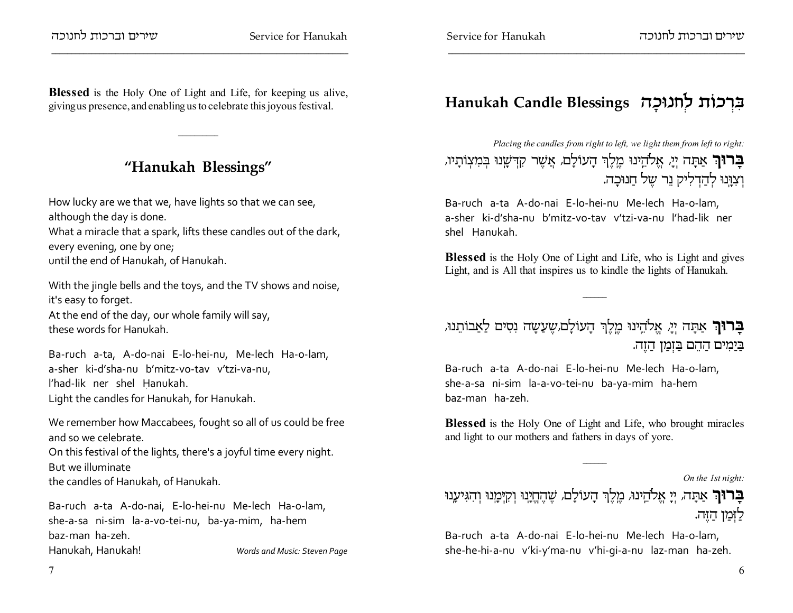**Blessed** is the Holy One of Light and Life, for keeping us alive,giving us presence, and enabling us to celebrate this joyous festival.

## **"Hanukah Blessings"**

How lucky are we that we, have lights so that we can see,although the day is done.What a miracle that a spark, lifts these candles out of the dark,every evening, one by one;

until the end of Hanukah, of Hanukah.

With the jingle bells and the toys, and the TV shows and noise,it's easy to forget.At the end of the day, our whole family will say,these words for Hanukah.

Ba-ruch a-ta, A-do-nai E-lo-hei-nu, Me-lech Ha-o-lam,a-sher ki-d'sha-nu b'mitz-vo-tav v'tzi-va-nu,l'had-lik ner shel Hanukah.Light the candles for Hanukah, for Hanukah.

We remember how Maccabees, fought so all of us could be freeand so we celebrate.On this festival of the lights, there's a joyful time every night.But we illuminate

the candles of Hanukah, of Hanukah.

Ba-ruch a-ta A-do-nai, E-lo-hei-nu Me-lech Ha-o-lam,she-a-sa ni-sim la-a-vo-tei-nu, ba-ya-mim, ha-hembaz-man ha-zeh.Hanukah, Hanukah! *Words and Music: Steven Page* **Hanukah Candle Blessings d¨kEpg§l zFk §x ¦A**

*Placing the candles from right to left, we light them from left to right:***בָרוּךְ** אַתָּה יְיָ, אֱלֹהֵינוּ כֵוְלֶךְ הָעוֹלָם, אֲשֶׁר קִדְּשָׁנוּ בְּמִצְוֹתָיו, וְצִוְּנוּ לְהַדְלִיק נֵר שֶל חַנוּ<mark>כָה.</mark>

Ba-ruch a-ta A-do-nai E-lo-hei-nu Me-lech Ha-o-lam,a-sher ki-d'sha-nu b'mitz-vo-tav v'tzi-va-nu l'had-lik nershel Hanukah.

**Blessed** is the Holy One of Light and Life, who is Light and givesLight, and is All that inspires us to kindle the lights of Hanukah.

## **בְרוּךְ** אַתָה יְיָ, אֱלֹהֵינוּ מֶלֶךְ הָעוֹלָם*,*שֶעַשָה נִסִים לַאַבוֹתֵנוּ, בַּיַמִּים הַהֵם בַּזְמַן הַזֶה.

Ba-ruch a-ta A-do-nai E-lo-hei-nu Me-lech Ha-o-lam,she-a-sa ni-sim la-a-vo-tei-nu ba-ya-mim ha-hembaz-man ha-zeh.

**Blessed** is the Holy One of Light and Life, who brought miraclesand light to our mothers and fathers in days of yore.

*On the 1st night:*

ב**רוּךְ** אַתָּה, יְיָ אֱלֹהֵינוּ, מֶלֶךְ הָעוֹלָם, שֶׁהֶחֱיָנוּ וְקִיּמָנוּ וְהִגִּיעָנוּ לַזְמַן הַזֶּה.

Ba-ruch a-ta A-do-nai E-lo-hei-nu Me-lech Ha-o-lam,she-he-hi-a-nu v'ki-y'ma-nu v'hi-gi-a-nu laz-man ha-zeh.

7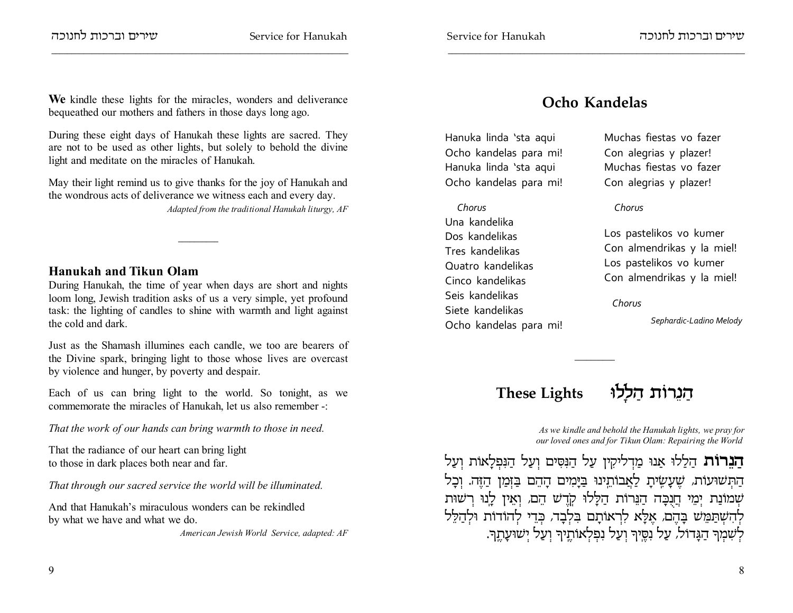**We** kindle these lights for the miracles, wonders and deliverancebequeathed our mothers and fathers in those days long ago.

During these eight days of Hanukah these lights are sacred. They are not to be used as other lights, but solely to behold the divinelight and meditate on the miracles of Hanukah.

May their light remind us to give thanks for the joy of Hanukah andthe wondrous acts of deliverance we witness each and every day.

*Adapted from the traditional Hanukah liturgy, AF*

### **Hanukah and Tikun Olam**

 During Hanukah, the time of year when days are short and nights loom long, Jewish tradition asks of us a very simple, yet profound task: the lighting of candles to shine with warmth and light againstthe cold and dark.

Just as the Shamash illumines each candle, we too are bearers of the Divine spark, bringing light to those whose lives are overcastby violence and hunger, by poverty and despair.

Each of us can bring light to the world. So tonight, as wecommemorate the miracles of Hanukah, let us also remember -:

*That the work of our hands can bring warmth to those in need.*

That the radiance of our heart can bring lightto those in dark places both near and far.

*That through our sacred service the world will be illuminated.*

And that Hanukah's miraculous wonders can be rekindledby what we have and what we do.

*American Jewish World Service, adapted: AF*

Hanuka linda 'sta aquiOcho kandelas para mi!Hanuka linda 'sta aquiOcho kandelas para mi!

 *Chorus* Una kandelika Dos kandelikasTres kandelikas Quatro kandelikasCinco kandelikasSeis kandelikasSiete kandelikasOcho kandelas para mi!

Muchas fiestas vo fazerCon alegrias y plazer!Muchas fiestas vo fazerCon alegrias y plazer!

### *Chorus*

Los pastelikos vo kumer Con almendrikas y la miel!Los pastelikos vo kumerCon almendrikas y la miel!

 *Chorus*

*Sephardic-Ladino Melody* 

# **These Lights El¨l ©d zFx¥p ©d**

*As we kindle and behold the Hanukah lights, we pray forour loved ones and for Tikun Olam: Repairing the World* 

**הַבֵּרוֹת** הַלַלוּ אַנוּ מַדְליקִין עַל הַנִּסִּים וְעַל הַנִּפְלָאוֹת וְעַל הַתְּשׁוּעוֹת, שֶׁעָשְׂיתָ לַאֲבוֹתֵינוּ בַּיָּמִים הָהֵם בַּזְמַן הַזֶּה. וְכָל שְמוֹנַת יְמֵי חֲנִבָּה הַנֵּרוֹת הַלָּלוּ קְדֶש הֵם, וְאֵין לָנוּ רְשׁוּת לְהִשְׁתַּמֵּשׁ בָּהֶם, אָלָא לִרְאוּתָם בִּלְבָד, כְּדֵי לְהודוֹת וּלְהַלֵּל לְשִׁמְךָ הַגָּדוֹל, עַל נִסֶּיךָ וְעַל נִפְלְאוֹהֶיךָ וְעַל יְשׁוּעָהֶן.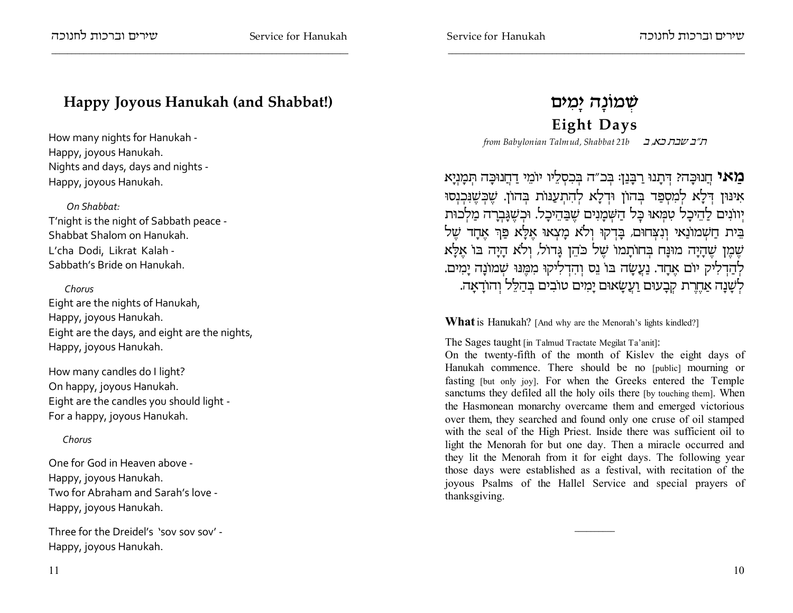## **Happy Joyous Hanukah (and Shabbat!)**

How many nights for Hanukah -Happy, joyous Hanukah. Nights and days, days and nights -Happy, joyous Hanukah.

 *On Shabbat:*T'night is the night of Sabbath peace -Shabbat Shalom on Hanukah.L'cha Dodi, Likrat Kalah -Sabbath's Bride on Hanukah.

### *Chorus*

 Eight are the nights of Hanukah,Happy, joyous Hanukah.Eight are the days, and eight are the nights,Happy, joyous Hanukah.

How many candles do I light?On happy, joyous Hanukah.Eight are the candles you should light -For a happy, joyous Hanukah.

### *Chorus*

One for God in Heaven above -Happy, joyous Hanukah.Two for Abraham and Sarah's love -Happy, joyous Hanukah.

Three for the Dreidel's 'sov sov sov' -Happy, joyous Hanukah.

## **שְׁמוֹנָה יָמִיּם**

## **Eight Days**

*from Babylonian Talmud, Shabbat 21b* c 'tf ,ca c",

ב**ואי** הֲנוּכָּה? דְּתָנוּ רַבְּנַן: בְּכ"ה בְּכִסְלֵיו יוֹמֵי דַחֲנוּכָּה תְּמָנְיָא אינּוּן דְּלָא לְמִסְפַּד בְּהוֹן וּדְלָא לְהִתְעַנּוֹת בְּהוֹן. שֶׁבְשֶׁנִּבְנְסוּ יְווֹנִים לַהִיכָל טִמְּאוּ כְּל הַשְׁמָנִים שֶבַּהֵיכָל. וּרְשֶׁגָּבְרָה מַלְכוּת בית חַשְמוֹנַאי וְנִצְחוּם, בָּדְקוּ וְלֹא מָצְאוּ אָלָא פַךְ אָחָד שֶל שֶׁמֶן שֶׁהָיָה מוּנָח בְּחוֹתָמוֹ שֶׁל כֹהֵן גָּדוֹל, וְלֹא הָיָה בּוֹ אֶלָּא לְהַדְלִיק יוֹם אֶבְזד. נַעֲשָׂה בּוֹ נֵס וְהִדְלִיקוּ מִמֶּנוּ שְׁמוֹנָה יָמִים. לְשָׁנָה אַחֶרֶת קְבָעוּם וַעֲשָׂאוּם יָמִים טוֹבִים בְּהַלֵּל וְהוֹדָאָה.

**What** is Hanukah? [And why are the Menorah's lights kindled?]

The Sages taught [in Talmud Tractate Megilat Ta'anit]:

 On the twenty-fifth of the month of Kislev the eight days of Hanukah commence. There should be no [public] mourning or fasting [but only joy]. For when the Greeks entered the Temple sanctums they defiled all the holy oils there [by touching them]. When the Hasmonean monarchy overcame them and emerged victorious over them, they searched and found only one cruse of oil stamped with the seal of the High Priest. Inside there was sufficient oil to light the Menorah for but one day. Then a miracle occurred and they lit the Menorah from it for eight days. The following year those days were established as a festival, with recitation of the joyous Psalms of the Hallel Service and special prayers ofthanksgiving.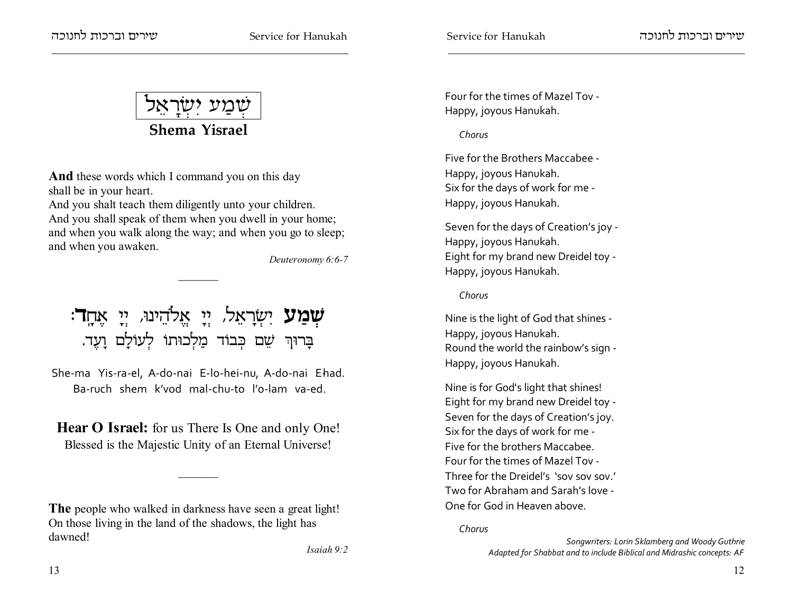שמע ישראל Shema Yisrael

**And** these words which I command you on this day shall be in your heart.

And you shalt teach them diligently unto your children. And you shall speak of them when you dwell in your home; and when you walk along the way; and when you go to sleep; and when you awaken.

Deuteronomy 6:6-7

**שְמַע** יִשְׂרָאֵל, יְיָ אֱלֹהֵינוּ, יְיָ אֶחֶ**ד**: בָרוּךְ שֵׁם כִּבוֹד מַלְכוּתוֹ לְעוֹלָם וַעֵד.

She-ma Yis-ra-el, A-do-nai E-lo-hei-nu, A-do-nai Ehad. Ba-ruch shem k'vod mal-chu-to l'o-lam va-ed

**Hear O Israel:** for us There Is One and only One! Blessed is the Majestic Unity of an Eternal Universe!

Four for the times of Mazel Toy -Happy, joyous Hanukah.

### Chorus

Five for the Brothers Maccabee -Happy, joyous Hanukah. Six for the days of work for me -Happy, joyous Hanukah.

Seven for the days of Creation's joy -Happy, joyous Hanukah. Eight for my brand new Dreidel toy -Happy, joyous Hanukah.

Chorus

Nine is the light of God that shines -Happy, joyous Hanukah. Round the world the rainbow's sign -Happy, joyous Hanukah.

Nine is for God's light that shines! Eight for my brand new Dreidel toy -Seven for the days of Creation's joy. Six for the days of work for me -Five for the brothers Maccabee. Four for the times of Mazel Toy -Three for the Dreidel's 'soy soy soy' Two for Abraham and Sarah's love -One for God in Heaven above.

Chorus

Songwriters: Lorin Sklamberg and Woody Guthrie Adapted for Shabbat and to include Biblical and Midrashic concepts: AF

The people who walked in darkness have seen a great light! On those living in the land of the shadows, the light has dawned!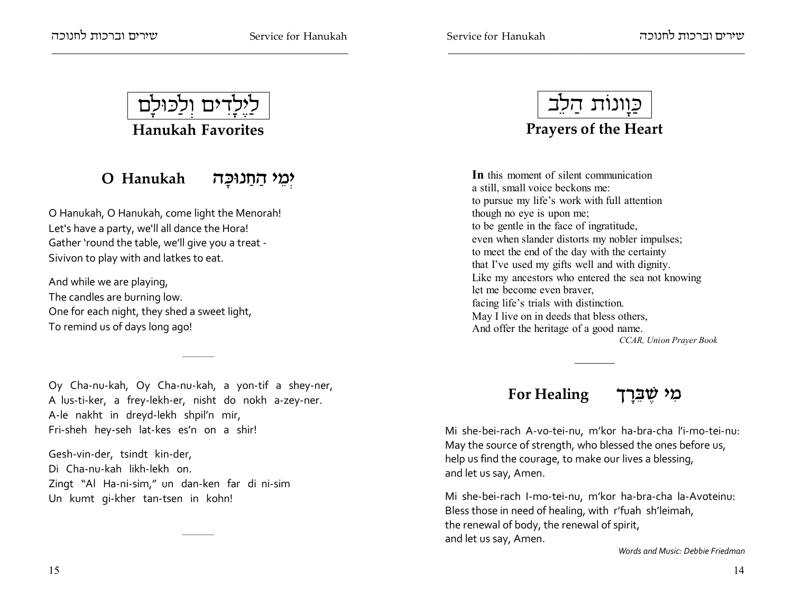

#### O Hanukah יִמֵי הַחְנוּכַה

O Hanukah, O Hanukah, come light the Menorah! Let's have a party, we'll all dance the Hora! Gather 'round the table, we'll give you a treat -Sivivon to play with and latkes to eat.

And while we are playing, The candles are burning low. One for each night, they shed a sweet light, To remind us of days long ago!

Oy Cha-nu-kah, Oy Cha-nu-kah, a yon-tif a shey-ner, A lus-ti-ker, a frey-lekh-er, nisht do nokh a-zey-ner. A-le nakht in dreyd-lekh shpil'n mir, Fri-sheh hey-seh lat-kes es'n on a shir!

Gesh-vin-der, tsindt kin-der, Di Cha-nu-kah likh-lekh on. Zingt "Al Ha-ni-sim," un dan-ken far di ni-sim Un kumt qi-kher tan-tsen in kohn!



## **Prayers of the Heart**

In this moment of silent communication a still, small voice beckons me: to pursue my life's work with full attention though no eye is upon me; to be gentle in the face of ingratitude, even when slander distorts my nobler impulses; to meet the end of the day with the certainty that I've used my gifts well and with dignity. Like my ancestors who entered the sea not knowing let me become even braver. facing life's trials with distinction. May I live on in deeds that bless others, And offer the heritage of a good name. CCAR, Union Prayer Book

#### **For Healing** מי שברד

Mi she-bei-rach A-vo-tei-nu, m'kor ha-bra-cha l'i-mo-tei-nu: May the source of strength, who blessed the ones before us, help us find the courage, to make our lives a blessing, and let us say, Amen.

Mi she-bei-rach I-mo-tei-nu, m'kor ha-bra-cha la-Avoteinu: Bless those in need of healing, with r'fuah sh'leimah, the renewal of body, the renewal of spirit, and let us say, Amen.

Words and Music: Debbie Friedman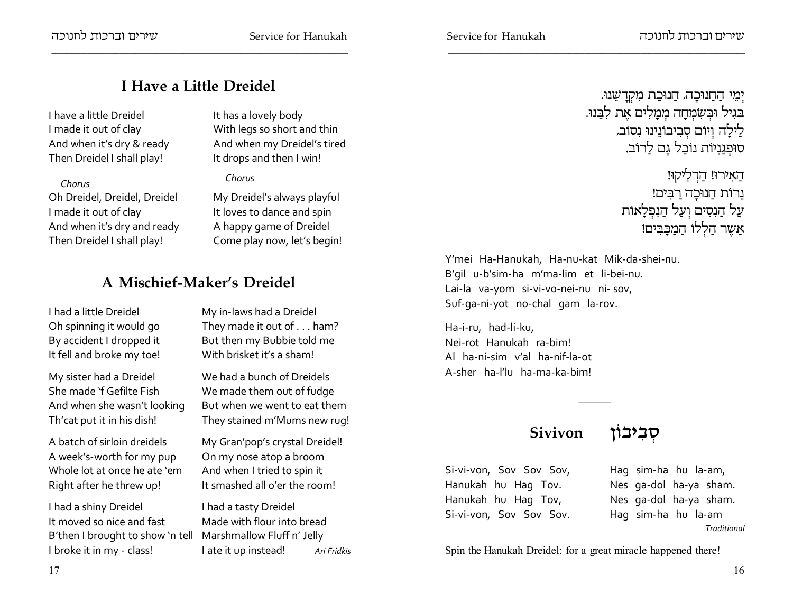## **I Have a Little Dreidel**

### I have a little DreidelI made it out of clay And when it's dry & readyThen Dreidel I shall play!

### *Chorus*

 Oh Dreidel, Dreidel, DreidelI made it out of clay And when it's dry and readyThen Dreidel I shall play!

It has a lovely body With legs so short and thin And when my Dreidel's tiredIt drops and then I win!

### *Chorus*

My Dreidel's always playfulIt loves to dance and spin A happy game of Dreidel Come play now, let's begin!

## **A Mischief-Maker's Dreidel**

I had a little DreidelOh spinning it would go By accident I dropped itIt fell and broke my toe!

My sister had a DreidelShe made 'f Gefilte Fish And when she wasn't lookingTh'cat put it in his dish!

A batch of sirloin dreidels A week's-worth for my pup Whole lot at once he ate 'emRight after he threw up!

I had a shiny DreidelIt moved so nice and fast B'then I brought to show 'n tell Marshmallow Fluff n' JellyI broke it in my - class!

My in-laws had a DreidelThey made it out of . . . ham? But then my Bubbie told meWith brisket it's a sham!

We had a bunch of Dreidels We made them out of fudge But when we went to eat themThey stained m'Mums new rug!

My Gran'pop's crystal Dreidel!On my nose atop a broom And when I tried to spin itIt smashed all o'er the room!

I had a tasty DreidelMade with flour into breadAri Fridkis I ate it up instead!

יְמֵי הַחֲנוּכָה, חַנוּכַת מִקְדָשֵׁנוּ.<br>. בגיל וּבִשְׂמִחַה מִמַלִים אֵת לְבֵנוּ. לַילָה וְיוֹם סְבִיבוֹנֵינוּ נִסוֹב, סוּפְגַנִיוֹת נוֹכַל גָם לַרוֹב.

> הַאִירוּ! הַדְלִיקוּ! נרות חנוכה רבים!<br>. עַל הַנִסִים וְעַל הַנִפְלָאוֹת אַשֶר הַלְלוֹ הַמַּבְּבִּים!

Y'mei Ha-Hanukah, Ha-nu-kat Mik-da-shei-nu.B'gil u-b'sim-ha m'ma-lim et li-bei-nu.Lai-la va-yom si-vi-vo-nei-nu ni- sov,Suf-ga-ni-yot no-chal gam la-rov.

Ha-i-ru, had-li-ku,Nei-rot Hanukah ra-bim!Al ha-ni-sim v'al ha-nif-la-otA-sher ha-l'lu ha-ma-ka-bim!

## **Sivivon oFai ¦a §q**

Si-vi-von, Sov Sov Sov,Hanukah hu Hag Tov.Hanukah hu Hag Tov,Si-vi-von, Sov Sov Sov. Hag sim-ha hu la-am,Nes ga-dol ha-ya sham.Nes ga-dol ha-ya sham.Hag sim-ha hu la-am*Traditional*

Spin the Hanukah Dreidel: for a great miracle happened there!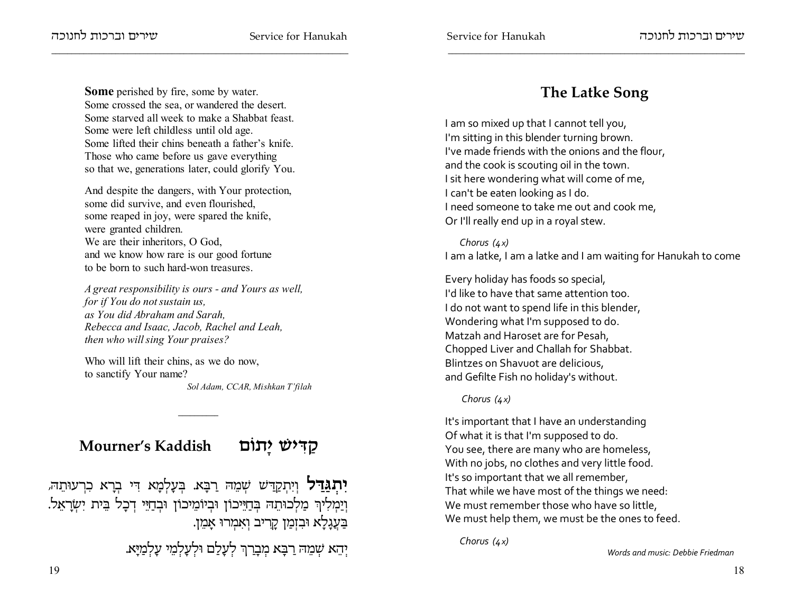**Some** perished by fire, some by water. Some crossed the sea, or wandered the desert. Some starved all week to make a Shabbat feast.Some were left childless until old age.Some lifted their chins beneath a father's knife.Those who came before us gave everythingso that we, generations later, could glorify You.

And despite the dangers, with Your protection,some did survive, and even flourished,some reaped in joy, were spared the knife,were granted children.We are their inheritors, O God, and we know how rare is our good fortuneto be born to such hard-won treasures.

*A great responsibility is ours - and Yours as well,for if You do not sustain us,as You did Abraham and Sarah,Rebecca and Isaac, Jacob, Rachel and Leah,then who will sing Your praises?*

Who will lift their chins, as we do now,to sanctify Your name?*Sol Adam, CCAR, Mishkan T'filah*

# **Mourner's Kaddish mFz¨i Wi ¦C ©w**

**יִתְגַּדַל** וְיִתְקַדַּשׁ שְׁמֵהּ רַבָּא. בְּעָלְמָא דִּי בְרָא כִרְעוּתֵה,<br>י וְיַמְלִיוְר מַלְכוּתֵה בְּחַיֵּיכוֹן וּבְיוֹמֵיכוֹן וּבְחַיֵּי דְכָל בֵּית יִשְׂרָאֵל. בַּעֲגָלָא וּבִזְמַן קָרִיב וְאִמְרוּ אָמֵן.

יְהֵא שְׁמֵה רַבָּא מְבָרַךְ לְעָלַם וּלְעָלְמֵי עָלְמַיָּא.<br>'

# **The Latke Song**

I am so mixed up that I cannot tell you, I'm sitting in this blender turning brown. I've made friends with the onions and the flour, and the cook is scouting oil in the town.I sit here wondering what will come of me, I can't be eaten looking as I do. I need someone to take me out and cook me, Or I'll really end up in a royal stew.

*Chorus (4x)*I am a latke, I am a latke and I am waiting for Hanukah to come

Every holiday has foods so special, I'd like to have that same attention too.I do not want to spend life in this blender, Wondering what I'm supposed to do.Matzah and Haroset are for Pesah, Chopped Liver and Challah for Shabbat.Blintzes on Shavuot are delicious, and Gefilte Fish no holiday's without.

### *Chorus (4x)*

It's important that I have an understanding Of what it is that I'm supposed to do.You see, there are many who are homeless, With no jobs, no clothes and very little food.It's so important that we all remember, That while we have most of the things we need:We must remember those who have so little, We must help them, we must be the ones to feed.

*Chorus (4x)*

*Words and music: Debbie Friedman*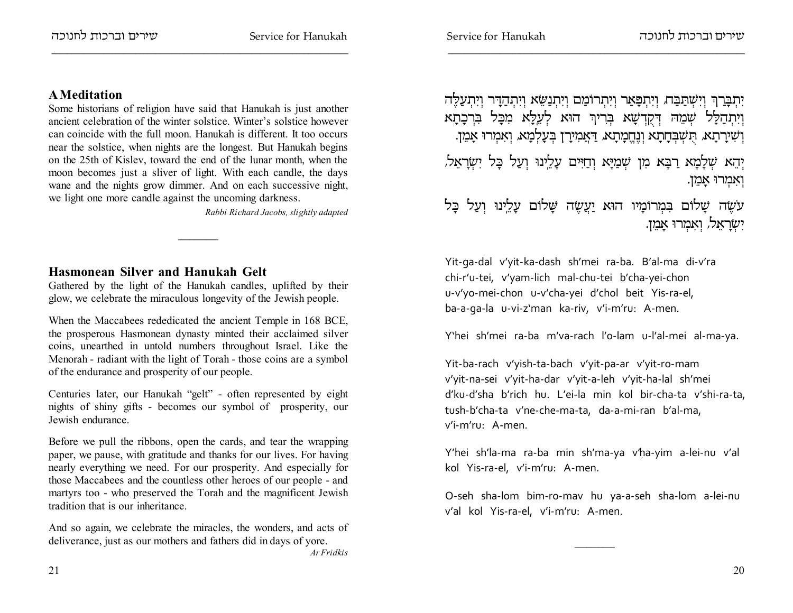### **A Meditation**

 Some historians of religion have said that Hanukah is just another ancient celebration of the winter solstice. Winter's solstice however can coincide with the full moon. Hanukah is different. It too occurs near the solstice, when nights are the longest. But Hanukah begins on the 25th of Kislev, toward the end of the lunar month, when the moon becomes just a sliver of light. With each candle, the days wane and the nights grow dimmer. And on each successive night,we light one more candle against the uncoming darkness.

*Rabbi Richard Jacobs, slightly adapted*

### **Hasmonean Silver and Hanukah Gelt**

 Gathered by the light of the Hanukah candles, uplifted by theirglow, we celebrate the miraculous longevity of the Jewish people.

When the Maccabees rededicated the ancient Temple in 168 BCE, the prosperous Hasmonean dynasty minted their acclaimed silver coins, unearthed in untold numbers throughout Israel. Like the Menorah - radiant with the light of Torah - those coins are a symbolof the endurance and prosperity of our people.

Centuries later, our Hanukah "gelt" - often represented by eight nights of shiny gifts - becomes our symbol of prosperity, ourJewish endurance.

Before we pull the ribbons, open the cards, and tear the wrapping paper, we pause, with gratitude and thanks for our lives. For having nearly everything we need. For our prosperity. And especially for those Maccabees and the countless other heroes of our people - and martyrs too - who preserved the Torah and the magnificent Jewishtradition that is our inheritance.

And so again, we celebrate the miracles, the wonders, and acts ofdeliverance, just as our mothers and fathers did in days of yore.*Ar Fridkis*

יִתְבָּרַךְ וְיִשְׁתַבַּח, וְיִתְבָּאַר וְיִתְרוֹמַם וְיִתְנַשֵּׂא וְיִתְהַדָּר וְיִתְעַלֶּה וְיִתְהַלָּל שְׁמֵהּ דְּקֻדְשָׁא בְּרִיךְ הוּא לְעֵלָָּא מִכָּל בִּרְכָתָא וְשִׁירָתָא, הֻשְׁבְּדָתָא וְנֶדֶקִיתָא, דַּאֲמִירָן בְּעָלְמָא, וְאִמְרוּ אָמֵן. יְהֵא שְׁלָמָא רַבָּא מִן שְׁמַיָּא וְחַיִּים עָלֵינוּ וְעַל בָּל יִשְׂרָאֵל, וִאָמְרוּ אַמֵן.

עשֶה שָׁלוֹם בִּמְרוֹמָיו הוּא יַעֲשֶה שָׁלוֹם עָלֵינוּ וְעַל כָּל יִשְׂרָאֵל, וְאִמְרוּ אָמֵן.

Yit-ga-dal v'yit-ka-dash sh'mei ra-ba. B'al-ma di-v'rachi-r'u-tei, v'yam-lich mal-chu-tei b'cha-yei-chon u-v'yo-mei-chon u-v'cha-yei d'chol beit Yis-ra-el,ba-a-ga-la u-vi-z'man ka-riv, v'i-m'ru: A-men.

Y'hei sh'mei ra-ba m'va-rach l'o-lam u-l'al-mei al-ma-ya.

Yit-ba-rach v'yish-ta-bach v'yit-pa-ar v'yit-ro-mam v'yit-na-sei v'yit-ha-dar v'yit-a-leh v'yit-ha-lal sh'meid'ku-d'sha b'rich hu. L'ei-la min kol bir-cha-ta v'shi-ra-ta,tush-b'cha-ta v'ne-che-ma-ta, da-a-mi-ran b'al-ma,v'i-m'ru: A-men.

Y'hei sh'la-ma ra-ba min sh'ma-ya v'ha-yim a-lei-nu v'alkol Yis-ra-el, v'i-m'ru: A-men.

O-seh sha-lom bim-ro-mav hu ya-a-seh sha-lom a-lei-nuv'al kol Yis-ra-el, v'i-m'ru: A-men.

21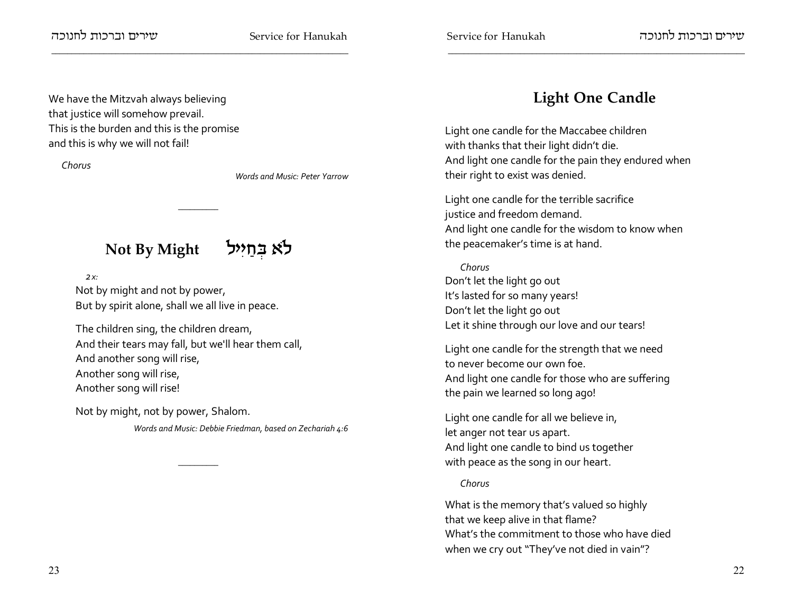### $m$ שארים וברכות לחנוכה

We have the Mitzvah always believingthat justice will somehow prevail.

and this is why we will not fail!

This is the burden and this is the promise

Service for Hanukah

## **Light One Candle**

Light one candle for the Maccabee childrenwith thanks that their light didn't die.And light one candle for the pain they endured whentheir right to exist was denied.

Light one candle for the terrible sacrificejustice and freedom demand.And light one candle for the wisdom to know whenthe peacemaker's time is at hand.

*Chorus* Don't let the light go out It's lasted for so many years!Don't let the light go outLet it shine through our love and our tears!

Light one candle for the strength that we needto never become our own foe.And light one candle for those who are sufferingthe pain we learned so long ago!

Light one candle for all we believe in,let anger not tear us apart.And light one candle to bind us togetherwith peace as the song in our heart.

### *Chorus*

What is the memory that's valued so highlythat we keep alive in that flame? What's the commitment to those who have diedwhen we cry out "They've not died in vain"?

*Chorus*

*Words and Music: Peter Yarrow*

# **Not By Might li¦i ©g §A `Ÿl**

 *2x:*

Not by might and not by power,But by spirit alone, shall we all live in peace.

The children sing, the children dream,And their tears may fall, but we'll hear them call,And another song will rise,Another song will rise, Another song will rise!

Not by might, not by power, Shalom.

*Words and Music: Debbie Friedman, based on Zechariah 4:6*